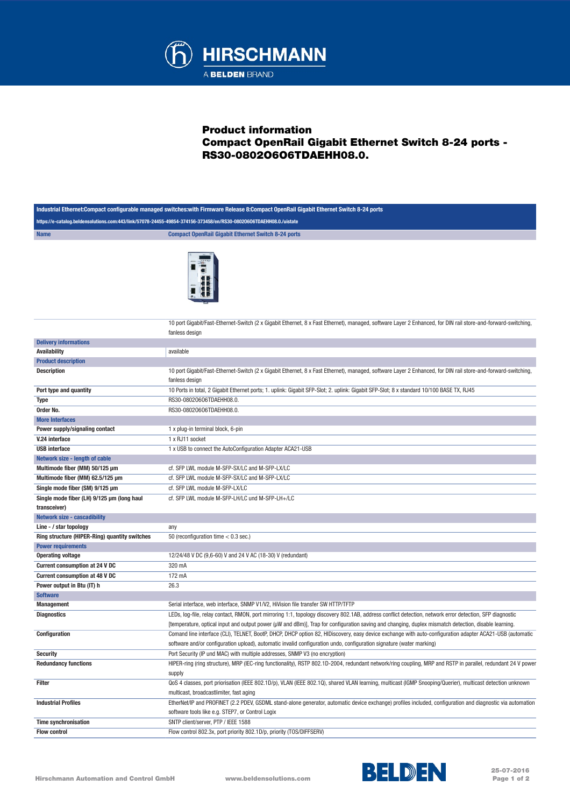

## Product information Compact OpenRail Gigabit Ethernet Switch 8-24 ports - RS30-0802O6O6TDAEHH08.0.

| Industrial Ethernet:Compact configurable managed switches:with Firmware Release 8:Compact OpenRail Gigabit Ethernet Switch 8-24 ports |                                                                                                                                                                                                                                                                                  |  |
|---------------------------------------------------------------------------------------------------------------------------------------|----------------------------------------------------------------------------------------------------------------------------------------------------------------------------------------------------------------------------------------------------------------------------------|--|
| https://e-catalog.beldensolutions.com:443/link/57078-24455-49854-374156-373458/en/RS30-08020606TDAEHH08.0./uistate                    |                                                                                                                                                                                                                                                                                  |  |
| <b>Name</b>                                                                                                                           | <b>Compact OpenRail Gigabit Ethernet Switch 8-24 ports</b>                                                                                                                                                                                                                       |  |
|                                                                                                                                       |                                                                                                                                                                                                                                                                                  |  |
|                                                                                                                                       | 10 port Gigabit/Fast-Ethernet-Switch (2 x Gigabit Ethernet, 8 x Fast Ethernet), managed, software Layer 2 Enhanced, for DIN rail store-and-forward-switching,<br>fanless design                                                                                                  |  |
| <b>Delivery informations</b>                                                                                                          |                                                                                                                                                                                                                                                                                  |  |
| Availability                                                                                                                          | available                                                                                                                                                                                                                                                                        |  |
| <b>Product description</b>                                                                                                            |                                                                                                                                                                                                                                                                                  |  |
| <b>Description</b>                                                                                                                    | 10 port Gigabit/Fast-Ethernet-Switch (2 x Gigabit Ethernet, 8 x Fast Ethernet), managed, software Layer 2 Enhanced, for DIN rail store-and-forward-switching,<br>fanless design                                                                                                  |  |
| Port type and quantity                                                                                                                | 10 Ports in total, 2 Gigabit Ethernet ports; 1. uplink: Gigabit SFP-Slot; 2. uplink: Gigabit SFP-Slot; 8 x standard 10/100 BASE TX, RJ45                                                                                                                                         |  |
| <b>Type</b>                                                                                                                           | RS30-08020606TDAEHH08.0.                                                                                                                                                                                                                                                         |  |
| Order No.                                                                                                                             | RS30-08020606TDAEHH08.0.                                                                                                                                                                                                                                                         |  |
| <b>More Interfaces</b>                                                                                                                |                                                                                                                                                                                                                                                                                  |  |
| Power supply/signaling contact                                                                                                        | 1 x plug-in terminal block, 6-pin                                                                                                                                                                                                                                                |  |
| V.24 interface                                                                                                                        | 1 x RJ11 socket                                                                                                                                                                                                                                                                  |  |
| <b>USB</b> interface                                                                                                                  | 1 x USB to connect the AutoConfiguration Adapter ACA21-USB                                                                                                                                                                                                                       |  |
| Network size - length of cable                                                                                                        |                                                                                                                                                                                                                                                                                  |  |
| Multimode fiber (MM) 50/125 µm                                                                                                        | cf. SFP LWL module M-SFP-SX/LC and M-SFP-LX/LC                                                                                                                                                                                                                                   |  |
| Multimode fiber (MM) 62.5/125 µm                                                                                                      | cf. SFP LWL module M-SFP-SX/LC and M-SFP-LX/LC                                                                                                                                                                                                                                   |  |
| Single mode fiber (SM) 9/125 µm                                                                                                       | cf. SFP LWL module M-SFP-LX/LC                                                                                                                                                                                                                                                   |  |
| Single mode fiber (LH) 9/125 µm (long haul                                                                                            | cf. SFP LWL module M-SFP-LH/LC und M-SFP-LH+/LC                                                                                                                                                                                                                                  |  |
| transceiver)                                                                                                                          |                                                                                                                                                                                                                                                                                  |  |
| <b>Network size - cascadibility</b>                                                                                                   |                                                                                                                                                                                                                                                                                  |  |
| Line - / star topology                                                                                                                | any                                                                                                                                                                                                                                                                              |  |
| Ring structure (HIPER-Ring) quantity switches                                                                                         | 50 (reconfiguration time $< 0.3$ sec.)                                                                                                                                                                                                                                           |  |
| <b>Power requirements</b>                                                                                                             |                                                                                                                                                                                                                                                                                  |  |
| <b>Operating voltage</b>                                                                                                              | 12/24/48 V DC (9,6-60) V and 24 V AC (18-30) V (redundant)                                                                                                                                                                                                                       |  |
| Current consumption at 24 V DC                                                                                                        | 320 mA                                                                                                                                                                                                                                                                           |  |
| Current consumption at 48 V DC                                                                                                        | 172 mA                                                                                                                                                                                                                                                                           |  |
| Power output in Btu (IT) h                                                                                                            | 26.3                                                                                                                                                                                                                                                                             |  |
| <b>Software</b>                                                                                                                       |                                                                                                                                                                                                                                                                                  |  |
| <b>Management</b>                                                                                                                     | Serial interface, web interface, SNMP V1/V2, HiVision file transfer SW HTTP/TFTP                                                                                                                                                                                                 |  |
| <b>Diagnostics</b>                                                                                                                    | LEDs, log-file, relay contact, RMON, port mirroring 1:1, topology discovery 802.1AB, address conflict detection, network error detection, SFP diagnostic                                                                                                                         |  |
|                                                                                                                                       | [temperature, optical input and output power (µW and dBm)], Trap for configuration saving and changing, duplex mismatch detection, disable learning.                                                                                                                             |  |
| <b>Configuration</b>                                                                                                                  | Comand line interface (CLI), TELNET, BootP, DHCP, DHCP option 82, HIDiscovery, easy device exchange with auto-configuration adapter ACA21-USB (automatic<br>software and/or configuration upload), automatic invalid configuration undo, configuration signature (water marking) |  |
| <b>Security</b>                                                                                                                       | Port Security (IP und MAC) with multiple addresses, SNMP V3 (no encryption)                                                                                                                                                                                                      |  |
| <b>Redundancy functions</b>                                                                                                           | HIPER-ring (ring structure), MRP (IEC-ring functionality), RSTP 802.1D-2004, redundant network/ring coupling, MRP and RSTP in parallel, redundant 24 V power                                                                                                                     |  |
|                                                                                                                                       | supply                                                                                                                                                                                                                                                                           |  |
| Filter                                                                                                                                | QoS 4 classes, port priorisation (IEEE 802.1D/p), VLAN (IEEE 802.1Q), shared VLAN learning, multicast (IGMP Snooping/Querier), multicast detection unknown                                                                                                                       |  |
|                                                                                                                                       | multicast, broadcastlimiter, fast aging                                                                                                                                                                                                                                          |  |
| <b>Industrial Profiles</b>                                                                                                            | EtherNet/IP and PROFINET (2.2 PDEV, GSDML stand-alone generator, automatic device exchange) profiles included, configuration and diagnostic via automation                                                                                                                       |  |
|                                                                                                                                       | software tools like e.g. STEP7, or Control Logix                                                                                                                                                                                                                                 |  |
| <b>Time synchronisation</b>                                                                                                           | SNTP client/server, PTP / IEEE 1588                                                                                                                                                                                                                                              |  |
| <b>Flow control</b>                                                                                                                   | Flow control 802.3x, port priority 802.1D/p, priority (TOS/DIFFSERV)                                                                                                                                                                                                             |  |
|                                                                                                                                       |                                                                                                                                                                                                                                                                                  |  |